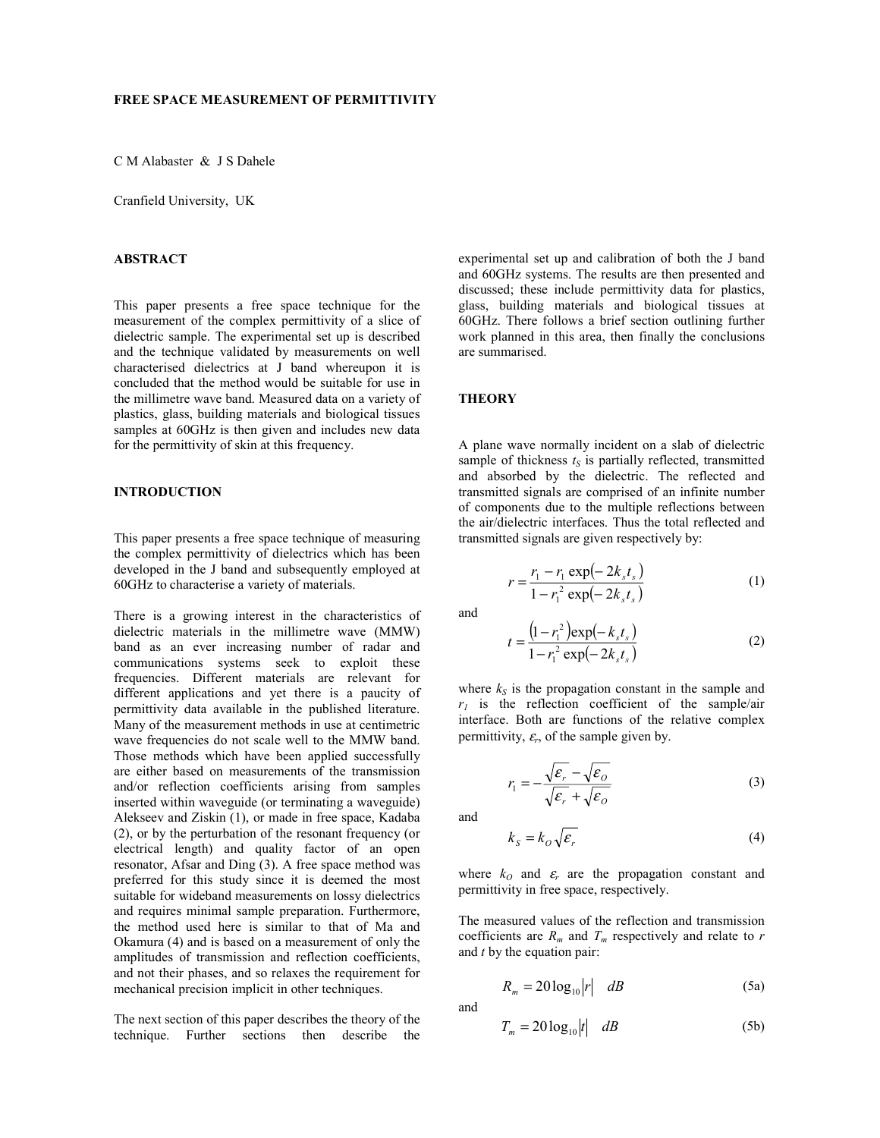C M Alabaster & J S Dahele

Cranfield University, UK

### **ABSTRACT**

This paper presents a free space technique for the measurement of the complex permittivity of a slice of dielectric sample. The experimental set up is described and the technique validated by measurements on well characterised dielectrics at J band whereupon it is concluded that the method would be suitable for use in the millimetre wave band. Measured data on a variety of plastics, glass, building materials and biological tissues samples at 60GHz is then given and includes new data for the permittivity of skin at this frequency.

#### **INTRODUCTION**

This paper presents a free space technique of measuring the complex permittivity of dielectrics which has been developed in the J band and subsequently employed at 60GHz to characterise a variety of materials.

There is a growing interest in the characteristics of dielectric materials in the millimetre wave (MMW) band as an ever increasing number of radar and communications systems seek to exploit these frequencies. Different materials are relevant for different applications and yet there is a paucity of permittivity data available in the published literature. Many of the measurement methods in use at centimetric wave frequencies do not scale well to the MMW band. Those methods which have been applied successfully are either based on measurements of the transmission and/or reflection coefficients arising from samples inserted within waveguide (or terminating a waveguide) Alekseev and Ziskin (1), or made in free space, Kadaba (2), or by the perturbation of the resonant frequency (or electrical length) and quality factor of an open resonator, Afsar and Ding (3). A free space method was preferred for this study since it is deemed the most suitable for wideband measurements on lossy dielectrics and requires minimal sample preparation. Furthermore, the method used here is similar to that of Ma and Okamura (4) and is based on a measurement of only the amplitudes of transmission and reflection coefficients, and not their phases, and so relaxes the requirement for mechanical precision implicit in other techniques.

The next section of this paper describes the theory of the technique. Further sections then describe the

experimental set up and calibration of both the J band and 60GHz systems. The results are then presented and discussed; these include permittivity data for plastics, glass, building materials and biological tissues at 60GHz. There follows a brief section outlining further work planned in this area, then finally the conclusions are summarised.

#### **THEORY**

A plane wave normally incident on a slab of dielectric sample of thickness  $t<sub>S</sub>$  is partially reflected, transmitted and absorbed by the dielectric. The reflected and transmitted signals are comprised of an infinite number of components due to the multiple reflections between the air/dielectric interfaces. Thus the total reflected and transmitted signals are given respectively by:

$$
r = \frac{r_1 - r_1 \exp(-2k_s t_s)}{1 - r_1^2 \exp(-2k_s t_s)}
$$
(1)

and

$$
t = \frac{\left(1 - r_1^2\right) \exp\left(-k_s t_s\right)}{1 - r_1^2 \exp\left(-2k_s t_s\right)}\tag{2}
$$

where  $k<sub>S</sub>$  is the propagation constant in the sample and  $r_1$  is the reflection coefficient of the sample/air interface. Both are functions of the relative complex permittivity,  $\varepsilon_r$ , of the sample given by.

$$
r_1 = -\frac{\sqrt{\varepsilon_r} - \sqrt{\varepsilon_o}}{\sqrt{\varepsilon_r} + \sqrt{\varepsilon_o}}
$$
 (3)

and

$$
k_{S} = k_{O} \sqrt{\mathcal{E}_{r}}
$$
 (4)

where  $k_0$  and  $\varepsilon_r$  are the propagation constant and permittivity in free space, respectively.

The measured values of the reflection and transmission coefficients are  $R_m$  and  $T_m$  respectively and relate to  $r$ and *t* by the equation pair:

$$
R_m = 20\log_{10}|r| \quad dB \tag{5a}
$$

and

$$
T_m = 20\log_{10}|t| \quad dB \tag{5b}
$$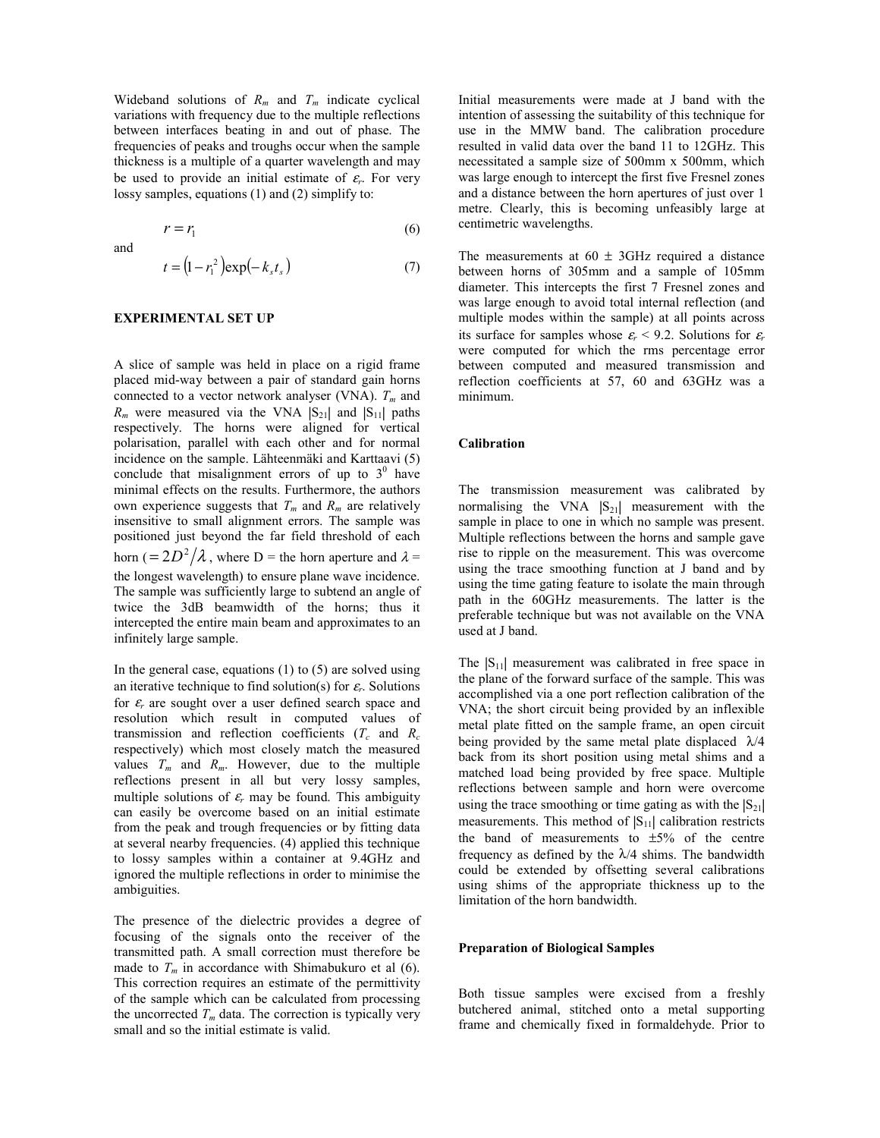Wideband solutions of  $R_m$  and  $T_m$  indicate cyclical variations with frequency due to the multiple reflections between interfaces beating in and out of phase. The frequencies of peaks and troughs occur when the sample thickness is a multiple of a quarter wavelength and may be used to provide an initial estimate of  $\varepsilon_r$ . For very lossy samples, equations (1) and (2) simplify to:

and

$$
t = (1 - r_1^2) \exp(-k_s t_s)
$$
 (7)

 $r = r_1$  (6)

#### **EXPERIMENTAL SET UP**

A slice of sample was held in place on a rigid frame placed mid-way between a pair of standard gain horns connected to a vector network analyser (VNA).  $T_m$  and  $R_m$  were measured via the VNA  $|S_{21}|$  and  $|S_{11}|$  paths respectively. The horns were aligned for vertical polarisation, parallel with each other and for normal incidence on the sample. Lähteenmäki and Karttaavi (5) conclude that misalignment errors of up to  $3^0$  have minimal effects on the results. Furthermore, the authors own experience suggests that  $T_m$  and  $R_m$  are relatively insensitive to small alignment errors. The sample was positioned just beyond the far field threshold of each horn ( $= 2D^2/\lambda$ , where D = the horn aperture and  $\lambda =$ the longest wavelength) to ensure plane wave incidence. The sample was sufficiently large to subtend an angle of twice the 3dB beamwidth of the horns; thus it intercepted the entire main beam and approximates to an infinitely large sample.

In the general case, equations  $(1)$  to  $(5)$  are solved using an iterative technique to find solution(s) for  $\varepsilon_r$ . Solutions for <sup>ε</sup>*r* are sought over a user defined search space and resolution which result in computed values of transmission and reflection coefficients  $(T_c$  and  $R_c$ respectively) which most closely match the measured values  $T_m$  and  $R_m$ . However, due to the multiple reflections present in all but very lossy samples, multiple solutions of  $\varepsilon_r$  may be found. This ambiguity can easily be overcome based on an initial estimate from the peak and trough frequencies or by fitting data at several nearby frequencies. (4) applied this technique to lossy samples within a container at 9.4GHz and ignored the multiple reflections in order to minimise the ambiguities.

The presence of the dielectric provides a degree of focusing of the signals onto the receiver of the transmitted path. A small correction must therefore be made to  $T_m$  in accordance with Shimabukuro et al (6). This correction requires an estimate of the permittivity of the sample which can be calculated from processing the uncorrected  $T_m$  data. The correction is typically very small and so the initial estimate is valid.

Initial measurements were made at J band with the intention of assessing the suitability of this technique for use in the MMW band. The calibration procedure resulted in valid data over the band 11 to 12GHz. This necessitated a sample size of 500mm x 500mm, which was large enough to intercept the first five Fresnel zones and a distance between the horn apertures of just over 1 metre. Clearly, this is becoming unfeasibly large at centimetric wavelengths.

The measurements at  $60 \pm 3$ GHz required a distance between horns of 305mm and a sample of 105mm diameter. This intercepts the first 7 Fresnel zones and was large enough to avoid total internal reflection (and multiple modes within the sample) at all points across its surface for samples whose  $\varepsilon_r$  < 9.2. Solutions for  $\varepsilon_r$ were computed for which the rms percentage error between computed and measured transmission and reflection coefficients at 57, 60 and 63GHz was a minimum.

#### **Calibration**

The transmission measurement was calibrated by normalising the VNA  $|S_{21}|$  measurement with the sample in place to one in which no sample was present. Multiple reflections between the horns and sample gave rise to ripple on the measurement. This was overcome using the trace smoothing function at J band and by using the time gating feature to isolate the main through path in the 60GHz measurements. The latter is the preferable technique but was not available on the VNA used at J band.

The  $|S_{11}|$  measurement was calibrated in free space in the plane of the forward surface of the sample. This was accomplished via a one port reflection calibration of the VNA; the short circuit being provided by an inflexible metal plate fitted on the sample frame, an open circuit being provided by the same metal plate displaced  $\lambda/4$ back from its short position using metal shims and a matched load being provided by free space. Multiple reflections between sample and horn were overcome using the trace smoothing or time gating as with the  $|S_{21}|$ measurements. This method of  $|S_{11}|$  calibration restricts the band of measurements to  $\pm 5\%$  of the centre frequency as defined by the  $\lambda$ /4 shims. The bandwidth could be extended by offsetting several calibrations using shims of the appropriate thickness up to the limitation of the horn bandwidth.

#### **Preparation of Biological Samples**

Both tissue samples were excised from a freshly butchered animal, stitched onto a metal supporting frame and chemically fixed in formaldehyde. Prior to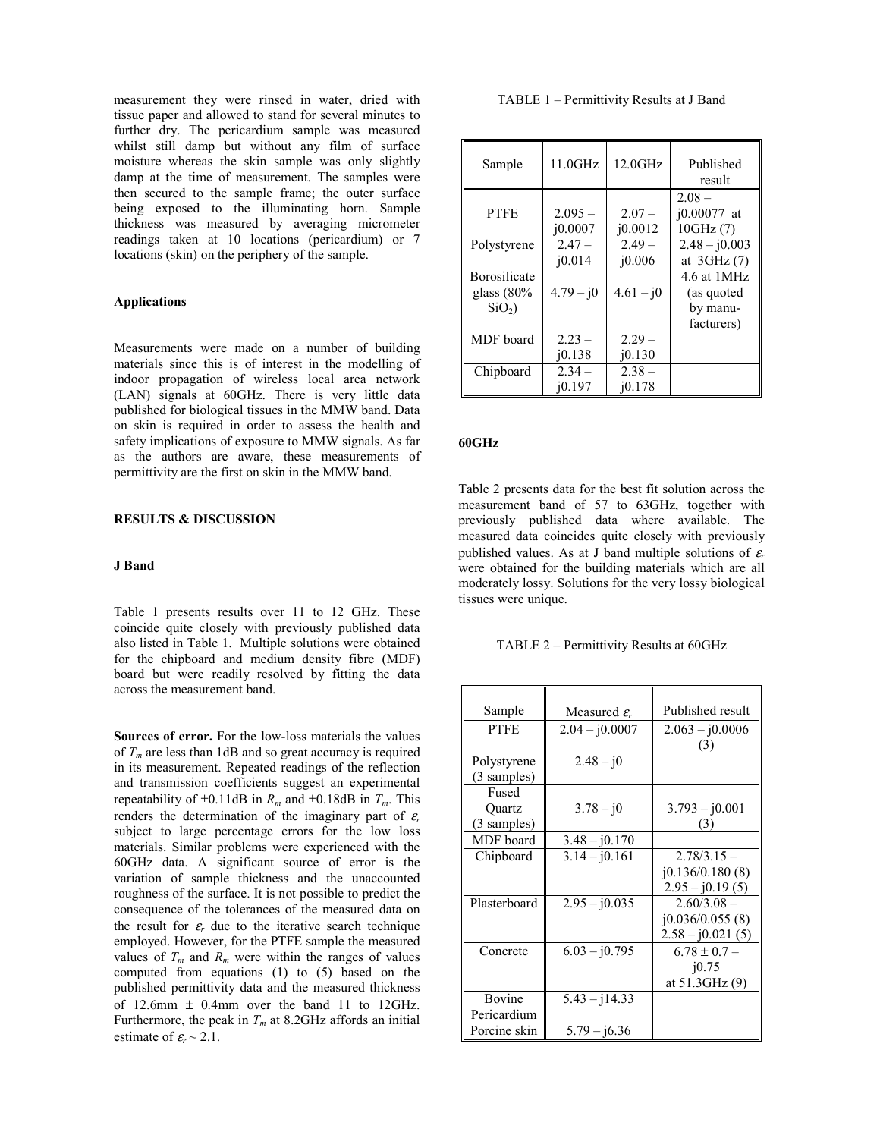measurement they were rinsed in water, dried with tissue paper and allowed to stand for several minutes to further dry. The pericardium sample was measured whilst still damp but without any film of surface moisture whereas the skin sample was only slightly damp at the time of measurement. The samples were then secured to the sample frame; the outer surface being exposed to the illuminating horn. Sample thickness was measured by averaging micrometer readings taken at 10 locations (pericardium) or 7 locations (skin) on the periphery of the sample.

## **Applications**

Measurements were made on a number of building materials since this is of interest in the modelling of indoor propagation of wireless local area network (LAN) signals at 60GHz. There is very little data published for biological tissues in the MMW band. Data on skin is required in order to assess the health and safety implications of exposure to MMW signals. As far as the authors are aware, these measurements of permittivity are the first on skin in the MMW band.

### **RESULTS & DISCUSSION**

#### **J Band**

Table 1 presents results over 11 to 12 GHz. These coincide quite closely with previously published data also listed in Table 1. Multiple solutions were obtained for the chipboard and medium density fibre (MDF) board but were readily resolved by fitting the data across the measurement band.

**Sources of error.** For the low-loss materials the values of  $T_m$  are less than 1dB and so great accuracy is required in its measurement. Repeated readings of the reflection and transmission coefficients suggest an experimental repeatability of  $\pm 0.11$ dB in  $R_m$  and  $\pm 0.18$ dB in  $T_m$ . This renders the determination of the imaginary part of  $\varepsilon_r$ subject to large percentage errors for the low loss materials. Similar problems were experienced with the 60GHz data. A significant source of error is the variation of sample thickness and the unaccounted roughness of the surface. It is not possible to predict the consequence of the tolerances of the measured data on the result for  $\varepsilon_r$  due to the iterative search technique employed. However, for the PTFE sample the measured values of  $T_m$  and  $R_m$  were within the ranges of values computed from equations (1) to (5) based on the published permittivity data and the measured thickness of 12.6mm  $\pm$  0.4mm over the band 11 to 12GHz. Furthermore, the peak in  $T_m$  at 8.2GHz affords an initial estimate of  $\varepsilon_r \sim 2.1$ .

#### TABLE 1 – Permittivity Results at J Band

| Sample              | $11.0$ GHz           | $12.0$ GHz          | Published<br>result                   |
|---------------------|----------------------|---------------------|---------------------------------------|
| <b>PTFE</b>         | $2.095 -$<br>i0.0007 | $2.07 -$<br>i0.0012 | $2.08 -$<br>$i0.00077$ at<br>10GHz(7) |
| Polystyrene         | $2.47 -$             | $2.49 -$            | $2.48 - j0.003$                       |
|                     | 10.014               | i0.006              | at $3GHz(7)$                          |
| <b>Borosilicate</b> |                      |                     | 4.6 at 1MHz                           |
| glass $(80\%$       | $4.79 - j0$          | $4.61 - i0$         | (as quoted                            |
| $SiO2$ )            |                      |                     | by manu-                              |
|                     |                      |                     | facturers)                            |
| MDF board           | $2.23 -$             | $2.29 -$            |                                       |
|                     | i0.138               | i0.130              |                                       |
| Chipboard           | $2.34-$              | $2.38 -$            |                                       |
|                     | i0.197               | i0.178              |                                       |

#### **60GHz**

Table 2 presents data for the best fit solution across the measurement band of 57 to 63GHz, together with previously published data where available. The measured data coincides quite closely with previously published values. As at J band multiple solutions of  $\varepsilon_r$ were obtained for the building materials which are all moderately lossy. Solutions for the very lossy biological tissues were unique.

### TABLE 2 – Permittivity Results at 60GHz

| Sample       | Measured $\varepsilon_r$ | Published result   |
|--------------|--------------------------|--------------------|
| <b>PTFE</b>  | $2.04 - j0.0007$         | $2.063 - j0.0006$  |
|              |                          | (3)                |
| Polystyrene  | $2.48 - j0$              |                    |
| (3 samples)  |                          |                    |
| Fused        |                          |                    |
| Quartz       | $3.78 - j0$              | $3.793 - j0.001$   |
| (3 samples)  |                          | (3)                |
| MDF board    | $3.48 - j0.170$          |                    |
| Chipboard    | $3.14 - j0.161$          | $2.78/3.15 -$      |
|              |                          | (0.136/0.180(8))   |
|              |                          | $2.95 - j0.19(5)$  |
| Plasterboard | $2.95 - j0.035$          | $2.60/3.08 -$      |
|              |                          | j0.036/0.055(8)    |
|              |                          | $2.58 - j0.021(5)$ |
| Concrete     | $6.03 - j0.795$          | $6.78 \pm 0.7 -$   |
|              |                          | 10.75              |
|              |                          | at 51.3GHz (9)     |
| Bovine       | $5.43 - j14.33$          |                    |
| Pericardium  |                          |                    |
| Porcine skin | $5.79 - i6.36$           |                    |